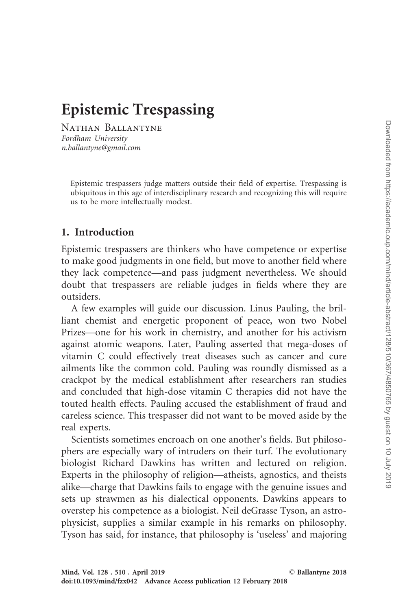# Epistemic Trespassing

Nathan Ballantyne Fordham University n.ballantyne@gmail.com

Epistemic trespassers judge matters outside their field of expertise. Trespassing is ubiquitous in this age of interdisciplinary research and recognizing this will require us to be more intellectually modest.

# 1. Introduction

Epistemic trespassers are thinkers who have competence or expertise to make good judgments in one field, but move to another field where they lack competence—and pass judgment nevertheless. We should doubt that trespassers are reliable judges in fields where they are outsiders.

A few examples will guide our discussion. Linus Pauling, the brilliant chemist and energetic proponent of peace, won two Nobel Prizes—one for his work in chemistry, and another for his activism against atomic weapons. Later, Pauling asserted that mega-doses of vitamin C could effectively treat diseases such as cancer and cure ailments like the common cold. Pauling was roundly dismissed as a crackpot by the medical establishment after researchers ran studies and concluded that high-dose vitamin C therapies did not have the touted health effects. Pauling accused the establishment of fraud and careless science. This trespasser did not want to be moved aside by the real experts.

Scientists sometimes encroach on one another's fields. But philosophers are especially wary of intruders on their turf. The evolutionary biologist Richard Dawkins has written and lectured on religion. Experts in the philosophy of religion—atheists, agnostics, and theists alike—charge that Dawkins fails to engage with the genuine issues and sets up strawmen as his dialectical opponents. Dawkins appears to overstep his competence as a biologist. Neil deGrasse Tyson, an astrophysicist, supplies a similar example in his remarks on philosophy. Tyson has said, for instance, that philosophy is 'useless' and majoring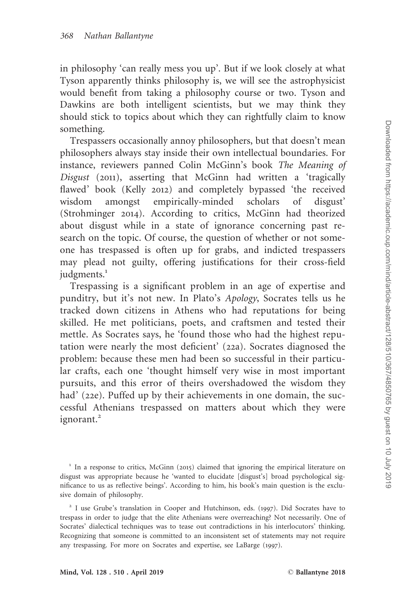in philosophy 'can really mess you up'. But if we look closely at what Tyson apparently thinks philosophy is, we will see the astrophysicist would benefit from taking a philosophy course or two. Tyson and Dawkins are both intelligent scientists, but we may think they should stick to topics about which they can rightfully claim to know something.

Trespassers occasionally annoy philosophers, but that doesn't mean philosophers always stay inside their own intellectual boundaries. For instance, reviewers panned Colin McGinn's book The Meaning of Disgust ([2011](#page-27-0)), asserting that McGinn had written a 'tragically flawed' book [\(Kelly](#page-26-0) 2012) and completely bypassed 'the received wisdom amongst empirically-minded scholars of disgust' [\(Strohminger](#page-28-0) 2014). According to critics, McGinn had theorized about disgust while in a state of ignorance concerning past research on the topic. Of course, the question of whether or not someone has trespassed is often up for grabs, and indicted trespassers may plead not guilty, offering justifications for their cross-field judgments.<sup>1</sup>

Trespassing is a significant problem in an age of expertise and punditry, but it's not new. In Plato's Apology, Socrates tells us he tracked down citizens in Athens who had reputations for being skilled. He met politicians, poets, and craftsmen and tested their mettle. As Socrates says, he 'found those who had the highest reputation were nearly the most deficient' (22a). Socrates diagnosed the problem: because these men had been so successful in their particular crafts, each one 'thought himself very wise in most important pursuits, and this error of theirs overshadowed the wisdom they had' (22e). Puffed up by their achievements in one domain, the successful Athenians trespassed on matters about which they were ignorant.<sup>2</sup>

<sup>&</sup>lt;sup>1</sup> In a response to critics, [McGinn \(](#page-27-0)2015) claimed that ignoring the empirical literature on disgust was appropriate because he 'wanted to elucidate [disgust's] broad psychological significance to us as reflective beings'. According to him, his book's main question is the exclusive domain of philosophy.

<sup>&</sup>lt;sup>2</sup> I use Grube's translation in [Cooper and Hutchinson, eds. \(](#page-25-0)1997). Did Socrates have to trespass in order to judge that the elite Athenians were overreaching? Not necessarily. One of Socrates' dialectical techniques was to tease out contradictions in his interlocutors' thinking. Recognizing that someone is committed to an inconsistent set of statements may not require any trespassing. For more on Socrates and expertise, see [LaBarge \(](#page-26-0)1997).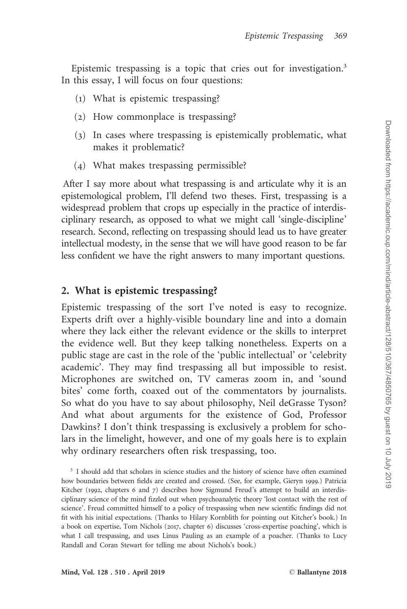Epistemic trespassing is a topic that cries out for investigation.<sup>3</sup> In this essay, I will focus on four questions:

- (1) What is epistemic trespassing?
- (2) How commonplace is trespassing?
- (3) In cases where trespassing is epistemically problematic, what makes it problematic?
- (4) What makes trespassing permissible?

After I say more about what trespassing is and articulate why it is an epistemological problem, I'll defend two theses. First, trespassing is a widespread problem that crops up especially in the practice of interdisciplinary research, as opposed to what we might call 'single-discipline' research. Second, reflecting on trespassing should lead us to have greater intellectual modesty, in the sense that we will have good reason to be far less confident we have the right answers to many important questions.

#### 2. What is epistemic trespassing?

Epistemic trespassing of the sort I've noted is easy to recognize. Experts drift over a highly-visible boundary line and into a domain where they lack either the relevant evidence or the skills to interpret the evidence well. But they keep talking nonetheless. Experts on a public stage are cast in the role of the 'public intellectual' or 'celebrity academic'. They may find trespassing all but impossible to resist. Microphones are switched on, TV cameras zoom in, and 'sound bites' come forth, coaxed out of the commentators by journalists. So what do you have to say about philosophy, Neil deGrasse Tyson? And what about arguments for the existence of God, Professor Dawkins? I don't think trespassing is exclusively a problem for scholars in the limelight, however, and one of my goals here is to explain why ordinary researchers often risk trespassing, too.

<sup>3</sup> I should add that scholars in science studies and the history of science have often examined how boundaries between fields are created and crossed. (See, for example, [Gieryn](#page-25-0) 1999.) [Patricia](#page-26-0) [Kitcher \(](#page-26-0)1992, chapters 6 and 7) describes how Sigmund Freud's attempt to build an interdisciplinary science of the mind fizzled out when psychoanalytic theory 'lost contact with the rest of science'. Freud committed himself to a policy of trespassing when new scientific findings did not fit with his initial expectations. (Thanks to Hilary Kornblith for pointing out Kitcher's book.) In a book on expertise, [Tom Nichols \(](#page-27-0)2017, chapter 6) discusses 'cross-expertise poaching', which is what I call trespassing, and uses Linus Pauling as an example of a poacher. (Thanks to Lucy Randall and Coran Stewart for telling me about Nichols's book.)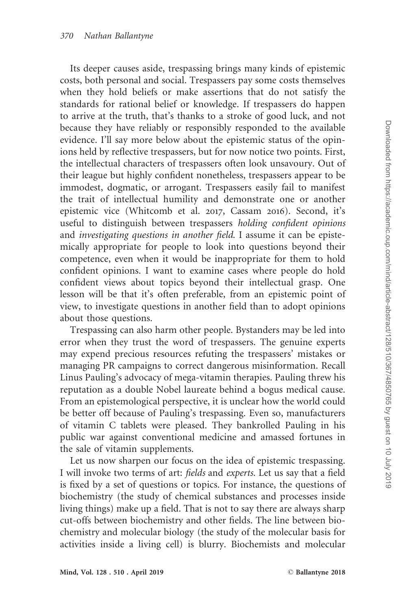Its deeper causes aside, trespassing brings many kinds of epistemic costs, both personal and social. Trespassers pay some costs themselves when they hold beliefs or make assertions that do not satisfy the standards for rational belief or knowledge. If trespassers do happen to arrive at the truth, that's thanks to a stroke of good luck, and not because they have reliably or responsibly responded to the available evidence. I'll say more below about the epistemic status of the opinions held by reflective trespassers, but for now notice two points. First, the intellectual characters of trespassers often look unsavoury. Out of their league but highly confident nonetheless, trespassers appear to be immodest, dogmatic, or arrogant. Trespassers easily fail to manifest the trait of intellectual humility and demonstrate one or another epistemic vice [\(Whitcomb et al.](#page-28-0) 2017, [Cassam](#page-25-0) 2016). Second, it's useful to distinguish between trespassers holding confident opinions and investigating questions in another field. I assume it can be epistemically appropriate for people to look into questions beyond their competence, even when it would be inappropriate for them to hold confident opinions. I want to examine cases where people do hold confident views about topics beyond their intellectual grasp. One lesson will be that it's often preferable, from an epistemic point of view, to investigate questions in another field than to adopt opinions about those questions.

Trespassing can also harm other people. Bystanders may be led into error when they trust the word of trespassers. The genuine experts may expend precious resources refuting the trespassers' mistakes or managing PR campaigns to correct dangerous misinformation. Recall Linus Pauling's advocacy of mega-vitamin therapies. Pauling threw his reputation as a double Nobel laureate behind a bogus medical cause. From an epistemological perspective, it is unclear how the world could be better off because of Pauling's trespassing. Even so, manufacturers of vitamin C tablets were pleased. They bankrolled Pauling in his public war against conventional medicine and amassed fortunes in the sale of vitamin supplements.

Let us now sharpen our focus on the idea of epistemic trespassing. I will invoke two terms of art: fields and experts. Let us say that a field is fixed by a set of questions or topics. For instance, the questions of biochemistry (the study of chemical substances and processes inside living things) make up a field. That is not to say there are always sharp cut-offs between biochemistry and other fields. The line between biochemistry and molecular biology (the study of the molecular basis for activities inside a living cell) is blurry. Biochemists and molecular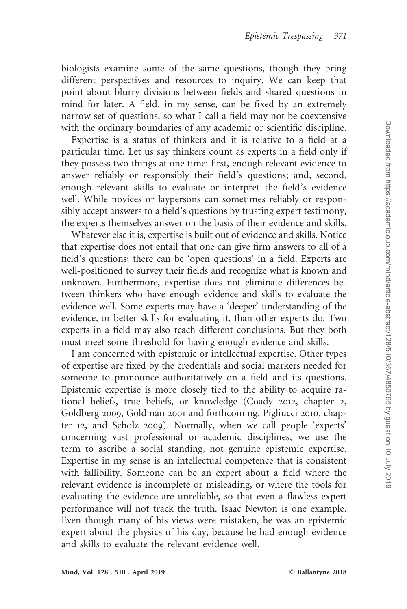biologists examine some of the same questions, though they bring different perspectives and resources to inquiry. We can keep that point about blurry divisions between fields and shared questions in mind for later. A field, in my sense, can be fixed by an extremely narrow set of questions, so what I call a field may not be coextensive with the ordinary boundaries of any academic or scientific discipline.

Expertise is a status of thinkers and it is relative to a field at a particular time. Let us say thinkers count as experts in a field only if they possess two things at one time: first, enough relevant evidence to answer reliably or responsibly their field's questions; and, second, enough relevant skills to evaluate or interpret the field's evidence well. While novices or laypersons can sometimes reliably or responsibly accept answers to a field's questions by trusting expert testimony, the experts themselves answer on the basis of their evidence and skills.

Whatever else it is, expertise is built out of evidence and skills. Notice that expertise does not entail that one can give firm answers to all of a field's questions; there can be 'open questions' in a field. Experts are well-positioned to survey their fields and recognize what is known and unknown. Furthermore, expertise does not eliminate differences between thinkers who have enough evidence and skills to evaluate the evidence well. Some experts may have a 'deeper' understanding of the evidence, or better skills for evaluating it, than other experts do. Two experts in a field may also reach different conclusions. But they both must meet some threshold for having enough evidence and skills.

I am concerned with epistemic or intellectual expertise. Other types of expertise are fixed by the credentials and social markers needed for someone to pronounce authoritatively on a field and its questions. Epistemic expertise is more closely tied to the ability to acquire rational beliefs, true beliefs, or knowledge [\(Coady](#page-25-0) 2012, chapter 2, [Goldberg](#page-25-0) 2009, [Goldman](#page-25-0) 2001 and forthcoming, [Pigliucci](#page-27-0) 2010, chapter 12, and [Scholz](#page-27-0) 2009). Normally, when we call people 'experts' concerning vast professional or academic disciplines, we use the term to ascribe a social standing, not genuine epistemic expertise. Expertise in my sense is an intellectual competence that is consistent with fallibility. Someone can be an expert about a field where the relevant evidence is incomplete or misleading, or where the tools for evaluating the evidence are unreliable, so that even a flawless expert performance will not track the truth. Isaac Newton is one example. Even though many of his views were mistaken, he was an epistemic expert about the physics of his day, because he had enough evidence and skills to evaluate the relevant evidence well.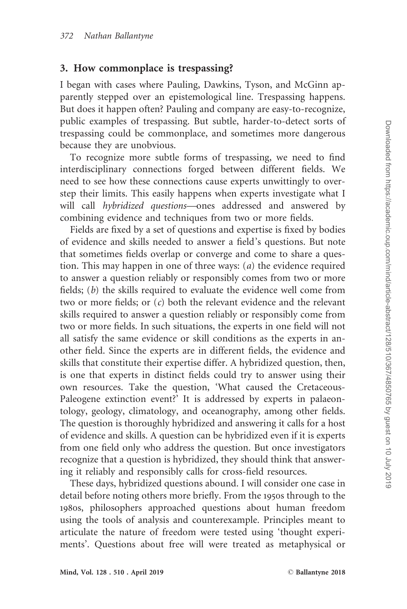# 3. How commonplace is trespassing?

I began with cases where Pauling, Dawkins, Tyson, and McGinn apparently stepped over an epistemological line. Trespassing happens. But does it happen often? Pauling and company are easy-to-recognize, public examples of trespassing. But subtle, harder-to-detect sorts of trespassing could be commonplace, and sometimes more dangerous because they are unobvious.

To recognize more subtle forms of trespassing, we need to find interdisciplinary connections forged between different fields. We need to see how these connections cause experts unwittingly to overstep their limits. This easily happens when experts investigate what I will call hybridized questions—ones addressed and answered by combining evidence and techniques from two or more fields.

Fields are fixed by a set of questions and expertise is fixed by bodies of evidence and skills needed to answer a field's questions. But note that sometimes fields overlap or converge and come to share a question. This may happen in one of three ways: (a) the evidence required to answer a question reliably or responsibly comes from two or more fields; (b) the skills required to evaluate the evidence well come from two or more fields; or (c) both the relevant evidence and the relevant skills required to answer a question reliably or responsibly come from two or more fields. In such situations, the experts in one field will not all satisfy the same evidence or skill conditions as the experts in another field. Since the experts are in different fields, the evidence and skills that constitute their expertise differ. A hybridized question, then, is one that experts in distinct fields could try to answer using their own resources. Take the question, 'What caused the Cretaceous-Paleogene extinction event?' It is addressed by experts in palaeontology, geology, climatology, and oceanography, among other fields. The question is thoroughly hybridized and answering it calls for a host of evidence and skills. A question can be hybridized even if it is experts from one field only who address the question. But once investigators recognize that a question is hybridized, they should think that answering it reliably and responsibly calls for cross-field resources.

These days, hybridized questions abound. I will consider one case in detail before noting others more briefly. From the 1950s through to the 1980s, philosophers approached questions about human freedom using the tools of analysis and counterexample. Principles meant to articulate the nature of freedom were tested using 'thought experiments'. Questions about free will were treated as metaphysical or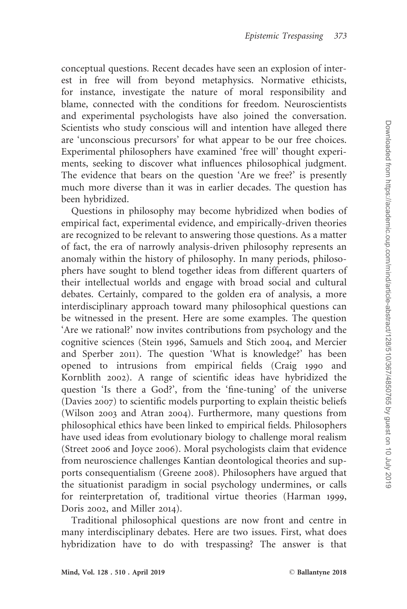conceptual questions. Recent decades have seen an explosion of interest in free will from beyond metaphysics. Normative ethicists, for instance, investigate the nature of moral responsibility and blame, connected with the conditions for freedom. Neuroscientists and experimental psychologists have also joined the conversation. Scientists who study conscious will and intention have alleged there are 'unconscious precursors' for what appear to be our free choices. Experimental philosophers have examined 'free will' thought experiments, seeking to discover what influences philosophical judgment. The evidence that bears on the question 'Are we free?' is presently much more diverse than it was in earlier decades. The question has been hybridized.

Questions in philosophy may become hybridized when bodies of empirical fact, experimental evidence, and empirically-driven theories are recognized to be relevant to answering those questions. As a matter of fact, the era of narrowly analysis-driven philosophy represents an anomaly within the history of philosophy. In many periods, philosophers have sought to blend together ideas from different quarters of their intellectual worlds and engage with broad social and cultural debates. Certainly, compared to the golden era of analysis, a more interdisciplinary approach toward many philosophical questions can be witnessed in the present. Here are some examples. The question 'Are we rational?' now invites contributions from psychology and the cognitive sciences [\(Stein](#page-28-0) 1996, [Samuels and Stich](#page-27-0) 2004, and [Mercier](#page-27-0) [and Sperber](#page-27-0) 2011). The question 'What is knowledge?' has been opened to intrusions from empirical fields ([Craig](#page-25-0) 1990 and [Kornblith](#page-26-0) 2002). A range of scientific ideas have hybridized the question 'Is there a God?', from the 'fine-tuning' of the universe ([Davies](#page-25-0) 2007) to scientific models purporting to explain theistic beliefs ([Wilson](#page-28-0) 2003 and [Atran](#page-24-0) 2004). Furthermore, many questions from philosophical ethics have been linked to empirical fields. Philosophers have used ideas from evolutionary biology to challenge moral realism ([Street](#page-28-0) 2006 and [Joyce](#page-26-0) 2006). Moral psychologists claim that evidence from neuroscience challenges Kantian deontological theories and supports consequentialism ([Greene](#page-25-0) 2008). Philosophers have argued that the situationist paradigm in social psychology undermines, or calls for reinterpretation of, traditional virtue theories ([Harman](#page-26-0) 1999, [Doris](#page-25-0) 2002, and [Miller](#page-27-0) 2014).

Traditional philosophical questions are now front and centre in many interdisciplinary debates. Here are two issues. First, what does hybridization have to do with trespassing? The answer is that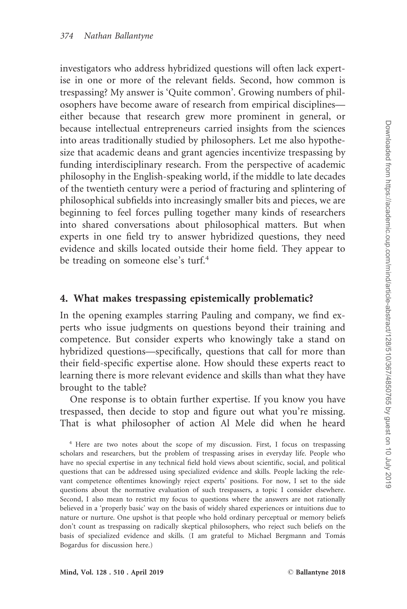investigators who address hybridized questions will often lack expertise in one or more of the relevant fields. Second, how common is trespassing? My answer is 'Quite common'. Growing numbers of philosophers have become aware of research from empirical disciplines either because that research grew more prominent in general, or because intellectual entrepreneurs carried insights from the sciences into areas traditionally studied by philosophers. Let me also hypothesize that academic deans and grant agencies incentivize trespassing by funding interdisciplinary research. From the perspective of academic philosophy in the English-speaking world, if the middle to late decades of the twentieth century were a period of fracturing and splintering of philosophical subfields into increasingly smaller bits and pieces, we are beginning to feel forces pulling together many kinds of researchers into shared conversations about philosophical matters. But when experts in one field try to answer hybridized questions, they need evidence and skills located outside their home field. They appear to be treading on someone else's turf.<sup>4</sup>

### 4. What makes trespassing epistemically problematic?

In the opening examples starring Pauling and company, we find experts who issue judgments on questions beyond their training and competence. But consider experts who knowingly take a stand on hybridized questions—specifically, questions that call for more than their field-specific expertise alone. How should these experts react to learning there is more relevant evidence and skills than what they have brought to the table?

One response is to obtain further expertise. If you know you have trespassed, then decide to stop and figure out what you're missing. That is what philosopher of action Al Mele did when he heard

<sup>4</sup> Here are two notes about the scope of my discussion. First, I focus on trespassing scholars and researchers, but the problem of trespassing arises in everyday life. People who have no special expertise in any technical field hold views about scientific, social, and political questions that can be addressed using specialized evidence and skills. People lacking the relevant competence oftentimes knowingly reject experts' positions. For now, I set to the side questions about the normative evaluation of such trespassers, a topic I consider elsewhere. Second, I also mean to restrict my focus to questions where the answers are not rationally believed in a 'properly basic' way on the basis of widely shared experiences or intuitions due to nature or nurture. One upshot is that people who hold ordinary perceptual or memory beliefs don't count as trespassing on radically skeptical philosophers, who reject such beliefs on the basis of specialized evidence and skills. (I am grateful to Michael Bergmann and Tomás Bogardus for discussion here.)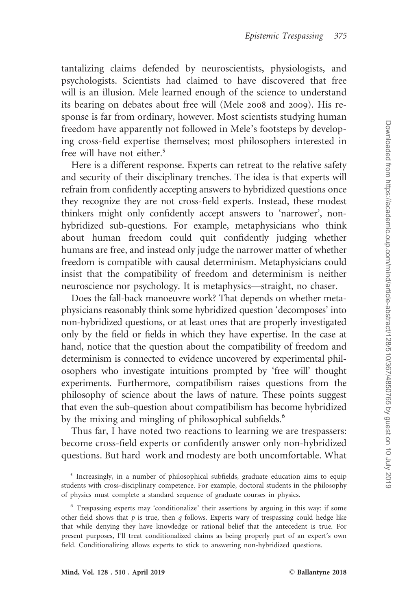tantalizing claims defended by neuroscientists, physiologists, and psychologists. Scientists had claimed to have discovered that free will is an illusion. Mele learned enough of the science to understand its bearing on debates about free will [\(Mele](#page-27-0) 2008 and [2009](#page-27-0)). His response is far from ordinary, however. Most scientists studying human freedom have apparently not followed in Mele's footsteps by developing cross-field expertise themselves; most philosophers interested in free will have not either.<sup>5</sup>

Here is a different response. Experts can retreat to the relative safety and security of their disciplinary trenches. The idea is that experts will refrain from confidently accepting answers to hybridized questions once they recognize they are not cross-field experts. Instead, these modest thinkers might only confidently accept answers to 'narrower', nonhybridized sub-questions. For example, metaphysicians who think about human freedom could quit confidently judging whether humans are free, and instead only judge the narrower matter of whether freedom is compatible with causal determinism. Metaphysicians could insist that the compatibility of freedom and determinism is neither neuroscience nor psychology. It is metaphysics—straight, no chaser.

Does the fall-back manoeuvre work? That depends on whether metaphysicians reasonably think some hybridized question 'decomposes' into non-hybridized questions, or at least ones that are properly investigated only by the field or fields in which they have expertise. In the case at hand, notice that the question about the compatibility of freedom and determinism is connected to evidence uncovered by experimental philosophers who investigate intuitions prompted by 'free will' thought experiments. Furthermore, compatibilism raises questions from the philosophy of science about the laws of nature. These points suggest that even the sub-question about compatibilism has become hybridized by the mixing and mingling of philosophical subfields.<sup>6</sup>

Thus far, I have noted two reactions to learning we are trespassers: become cross-field experts or confidently answer only non-hybridized questions. But hard work and modesty are both uncomfortable. What

<sup>&</sup>lt;sup>5</sup> Increasingly, in a number of philosophical subfields, graduate education aims to equip students with cross-disciplinary competence. For example, doctoral students in the philosophy of physics must complete a standard sequence of graduate courses in physics.

<sup>6</sup> Trespassing experts may 'conditionalize' their assertions by arguing in this way: if some other field shows that p is true, then q follows. Experts wary of trespassing could hedge like that while denying they have knowledge or rational belief that the antecedent is true. For present purposes, I'll treat conditionalized claims as being properly part of an expert's own field. Conditionalizing allows experts to stick to answering non-hybridized questions.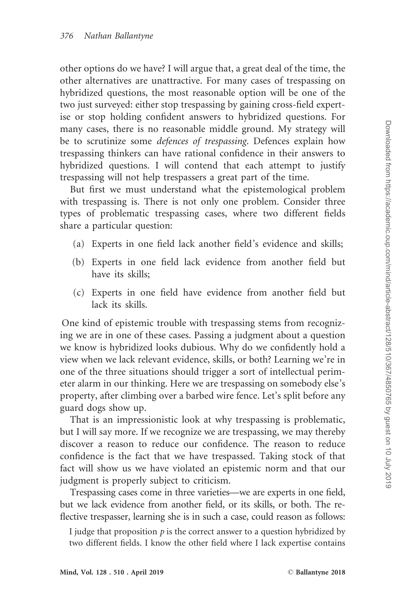other options do we have? I will argue that, a great deal of the time, the other alternatives are unattractive. For many cases of trespassing on hybridized questions, the most reasonable option will be one of the two just surveyed: either stop trespassing by gaining cross-field expertise or stop holding confident answers to hybridized questions. For many cases, there is no reasonable middle ground. My strategy will be to scrutinize some defences of trespassing. Defences explain how trespassing thinkers can have rational confidence in their answers to hybridized questions. I will contend that each attempt to justify trespassing will not help trespassers a great part of the time.

But first we must understand what the epistemological problem with trespassing is. There is not only one problem. Consider three types of problematic trespassing cases, where two different fields share a particular question:

- (a) Experts in one field lack another field's evidence and skills;
- (b) Experts in one field lack evidence from another field but have its skills;
- (c) Experts in one field have evidence from another field but lack its skills.

One kind of epistemic trouble with trespassing stems from recognizing we are in one of these cases. Passing a judgment about a question we know is hybridized looks dubious. Why do we confidently hold a view when we lack relevant evidence, skills, or both? Learning we're in one of the three situations should trigger a sort of intellectual perimeter alarm in our thinking. Here we are trespassing on somebody else's property, after climbing over a barbed wire fence. Let's split before any guard dogs show up.

That is an impressionistic look at why trespassing is problematic, but I will say more. If we recognize we are trespassing, we may thereby discover a reason to reduce our confidence. The reason to reduce confidence is the fact that we have trespassed. Taking stock of that fact will show us we have violated an epistemic norm and that our judgment is properly subject to criticism.

Trespassing cases come in three varieties—we are experts in one field, but we lack evidence from another field, or its skills, or both. The reflective trespasser, learning she is in such a case, could reason as follows:

I judge that proposition  $p$  is the correct answer to a question hybridized by two different fields. I know the other field where I lack expertise contains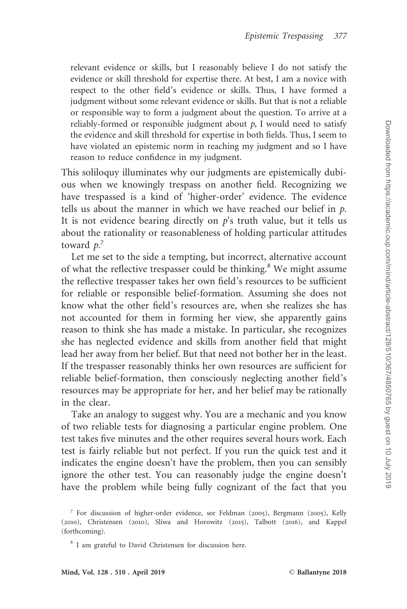relevant evidence or skills, but I reasonably believe I do not satisfy the evidence or skill threshold for expertise there. At best, I am a novice with respect to the other field's evidence or skills. Thus, I have formed a judgment without some relevant evidence or skills. But that is not a reliable or responsible way to form a judgment about the question. To arrive at a reliably-formed or responsible judgment about  $p$ , I would need to satisfy the evidence and skill threshold for expertise in both fields. Thus, I seem to have violated an epistemic norm in reaching my judgment and so I have reason to reduce confidence in my judgment.

This soliloquy illuminates why our judgments are epistemically dubious when we knowingly trespass on another field. Recognizing we have trespassed is a kind of 'higher-order' evidence. The evidence tells us about the manner in which we have reached our belief in p. It is not evidence bearing directly on  $p$ 's truth value, but it tells us about the rationality or reasonableness of holding particular attitudes toward  $p^2$ 

Let me set to the side a tempting, but incorrect, alternative account of what the reflective trespasser could be thinking.<sup>8</sup> We might assume the reflective trespasser takes her own field's resources to be sufficient for reliable or responsible belief-formation. Assuming she does not know what the other field's resources are, when she realizes she has not accounted for them in forming her view, she apparently gains reason to think she has made a mistake. In particular, she recognizes she has neglected evidence and skills from another field that might lead her away from her belief. But that need not bother her in the least. If the trespasser reasonably thinks her own resources are sufficient for reliable belief-formation, then consciously neglecting another field's resources may be appropriate for her, and her belief may be rationally in the clear.

Take an analogy to suggest why. You are a mechanic and you know of two reliable tests for diagnosing a particular engine problem. One test takes five minutes and the other requires several hours work. Each test is fairly reliable but not perfect. If you run the quick test and it indicates the engine doesn't have the problem, then you can sensibly ignore the other test. You can reasonably judge the engine doesn't have the problem while being fully cognizant of the fact that you

<sup>&</sup>lt;sup>7</sup> For discussion of higher-order evidence, see [Feldman \(](#page-25-0)2005), [Bergmann \(](#page-25-0)2005), [Kelly](#page-26-0) ([2010](#page-26-0)), [Christensen \(](#page-25-0)2010), [Sliwa and Horowitz \(](#page-28-0)2015), [Talbott \(](#page-28-0)2016), and [Kappel](#page-26-0) [\(forthcoming\).](#page-26-0)

<sup>8</sup> I am grateful to David Christensen for discussion here.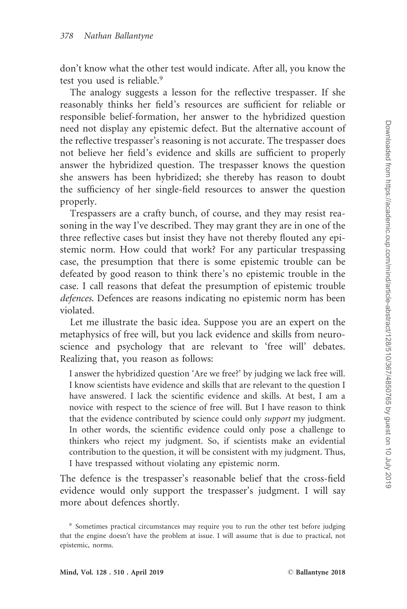don't know what the other test would indicate. After all, you know the test you used is reliable.<sup>9</sup>

The analogy suggests a lesson for the reflective trespasser. If she reasonably thinks her field's resources are sufficient for reliable or responsible belief-formation, her answer to the hybridized question need not display any epistemic defect. But the alternative account of the reflective trespasser's reasoning is not accurate. The trespasser does not believe her field's evidence and skills are sufficient to properly answer the hybridized question. The trespasser knows the question she answers has been hybridized; she thereby has reason to doubt the sufficiency of her single-field resources to answer the question properly.

Trespassers are a crafty bunch, of course, and they may resist reasoning in the way I've described. They may grant they are in one of the three reflective cases but insist they have not thereby flouted any epistemic norm. How could that work? For any particular trespassing case, the presumption that there is some epistemic trouble can be defeated by good reason to think there's no epistemic trouble in the case. I call reasons that defeat the presumption of epistemic trouble defences. Defences are reasons indicating no epistemic norm has been violated.

Let me illustrate the basic idea. Suppose you are an expert on the metaphysics of free will, but you lack evidence and skills from neuroscience and psychology that are relevant to 'free will' debates. Realizing that, you reason as follows:

I answer the hybridized question 'Are we free?' by judging we lack free will. I know scientists have evidence and skills that are relevant to the question I have answered. I lack the scientific evidence and skills. At best, I am a novice with respect to the science of free will. But I have reason to think that the evidence contributed by science could only support my judgment. In other words, the scientific evidence could only pose a challenge to thinkers who reject my judgment. So, if scientists make an evidential contribution to the question, it will be consistent with my judgment. Thus, I have trespassed without violating any epistemic norm.

The defence is the trespasser's reasonable belief that the cross-field evidence would only support the trespasser's judgment. I will say more about defences shortly.

<sup>9</sup> Sometimes practical circumstances may require you to run the other test before judging that the engine doesn't have the problem at issue. I will assume that is due to practical, not epistemic, norms.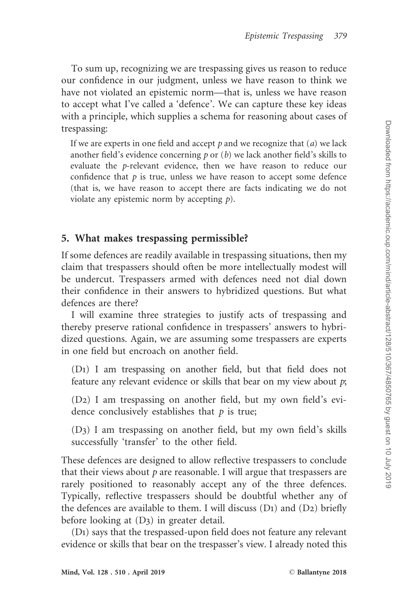To sum up, recognizing we are trespassing gives us reason to reduce our confidence in our judgment, unless we have reason to think we have not violated an epistemic norm—that is, unless we have reason to accept what I've called a 'defence'. We can capture these key ideas with a principle, which supplies a schema for reasoning about cases of trespassing:

If we are experts in one field and accept  $p$  and we recognize that  $(a)$  we lack another field's evidence concerning  $p$  or  $(b)$  we lack another field's skills to evaluate the p-relevant evidence, then we have reason to reduce our confidence that  $p$  is true, unless we have reason to accept some defence (that is, we have reason to accept there are facts indicating we do not violate any epistemic norm by accepting  $p$ ).

# 5. What makes trespassing permissible?

If some defences are readily available in trespassing situations, then my claim that trespassers should often be more intellectually modest will be undercut. Trespassers armed with defences need not dial down their confidence in their answers to hybridized questions. But what defences are there?

I will examine three strategies to justify acts of trespassing and thereby preserve rational confidence in trespassers' answers to hybridized questions. Again, we are assuming some trespassers are experts in one field but encroach on another field.

(D1) I am trespassing on another field, but that field does not feature any relevant evidence or skills that bear on my view about  $p$ ;

(D2) I am trespassing on another field, but my own field's evidence conclusively establishes that  $p$  is true;

(D3) I am trespassing on another field, but my own field's skills successfully 'transfer' to the other field.

These defences are designed to allow reflective trespassers to conclude that their views about  $p$  are reasonable. I will argue that trespassers are rarely positioned to reasonably accept any of the three defences. Typically, reflective trespassers should be doubtful whether any of the defences are available to them. I will discuss  $(D_1)$  and  $(D_2)$  briefly before looking at (D3) in greater detail.

(D1) says that the trespassed-upon field does not feature any relevant evidence or skills that bear on the trespasser's view. I already noted this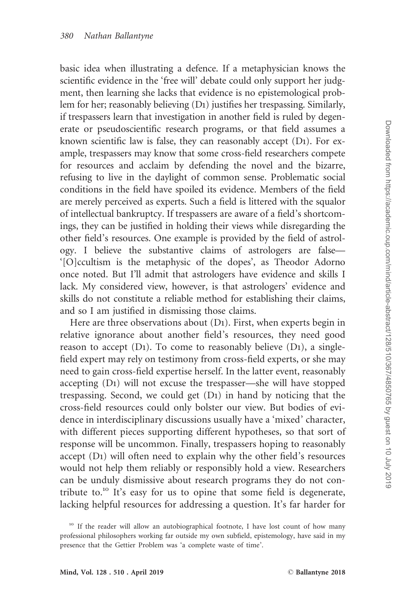basic idea when illustrating a defence. If a metaphysician knows the scientific evidence in the 'free will' debate could only support her judgment, then learning she lacks that evidence is no epistemological problem for her; reasonably believing (D1) justifies her trespassing. Similarly, if trespassers learn that investigation in another field is ruled by degenerate or pseudoscientific research programs, or that field assumes a known scientific law is false, they can reasonably accept (D1). For example, trespassers may know that some cross-field researchers compete for resources and acclaim by defending the novel and the bizarre, refusing to live in the daylight of common sense. Problematic social conditions in the field have spoiled its evidence. Members of the field are merely perceived as experts. Such a field is littered with the squalor of intellectual bankruptcy. If trespassers are aware of a field's shortcomings, they can be justified in holding their views while disregarding the other field's resources. One example is provided by the field of astrology. I believe the substantive claims of astrologers are false— '[O]ccultism is the metaphysic of the dopes', as Theodor Adorno once noted. But I'll admit that astrologers have evidence and skills I lack. My considered view, however, is that astrologers' evidence and skills do not constitute a reliable method for establishing their claims, and so I am justified in dismissing those claims.

Here are three observations about (D1). First, when experts begin in relative ignorance about another field's resources, they need good reason to accept  $(D_1)$ . To come to reasonably believe  $(D_1)$ , a singlefield expert may rely on testimony from cross-field experts, or she may need to gain cross-field expertise herself. In the latter event, reasonably accepting (D1) will not excuse the trespasser—she will have stopped trespassing. Second, we could get (D1) in hand by noticing that the cross-field resources could only bolster our view. But bodies of evidence in interdisciplinary discussions usually have a 'mixed' character, with different pieces supporting different hypotheses, so that sort of response will be uncommon. Finally, trespassers hoping to reasonably accept  $(D_1)$  will often need to explain why the other field's resources would not help them reliably or responsibly hold a view. Researchers can be unduly dismissive about research programs they do not contribute to.<sup>10</sup> It's easy for us to opine that some field is degenerate, lacking helpful resources for addressing a question. It's far harder for

<sup>&</sup>lt;sup>10</sup> If the reader will allow an autobiographical footnote, I have lost count of how many professional philosophers working far outside my own subfield, epistemology, have said in my presence that the Gettier Problem was 'a complete waste of time'.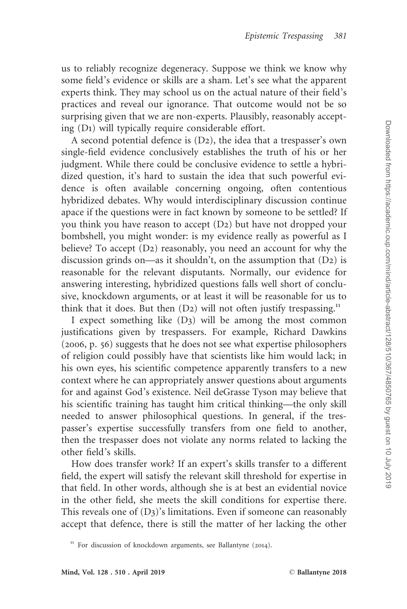us to reliably recognize degeneracy. Suppose we think we know why some field's evidence or skills are a sham. Let's see what the apparent experts think. They may school us on the actual nature of their field's practices and reveal our ignorance. That outcome would not be so surprising given that we are non-experts. Plausibly, reasonably accepting (D1) will typically require considerable effort.

A second potential defence is (D2), the idea that a trespasser's own single-field evidence conclusively establishes the truth of his or her judgment. While there could be conclusive evidence to settle a hybridized question, it's hard to sustain the idea that such powerful evidence is often available concerning ongoing, often contentious hybridized debates. Why would interdisciplinary discussion continue apace if the questions were in fact known by someone to be settled? If you think you have reason to accept (D2) but have not dropped your bombshell, you might wonder: is my evidence really as powerful as I believe? To accept (D2) reasonably, you need an account for why the discussion grinds on—as it shouldn't, on the assumption that  $(D_2)$  is reasonable for the relevant disputants. Normally, our evidence for answering interesting, hybridized questions falls well short of conclusive, knockdown arguments, or at least it will be reasonable for us to think that it does. But then  $(D_2)$  will not often justify trespassing.<sup>11</sup>

I expect something like (D3) will be among the most common justifications given by trespassers. For example, [Richard Dawkins](#page-25-0) ([2006](#page-25-0), p. 56) suggests that he does not see what expertise philosophers of religion could possibly have that scientists like him would lack; in his own eyes, his scientific competence apparently transfers to a new context where he can appropriately answer questions about arguments for and against God's existence. Neil deGrasse Tyson may believe that his scientific training has taught him critical thinking—the only skill needed to answer philosophical questions. In general, if the trespasser's expertise successfully transfers from one field to another, then the trespasser does not violate any norms related to lacking the other field's skills.

How does transfer work? If an expert's skills transfer to a different field, the expert will satisfy the relevant skill threshold for expertise in that field. In other words, although she is at best an evidential novice in the other field, she meets the skill conditions for expertise there. This reveals one of  $(D_3)$ 's limitations. Even if someone can reasonably accept that defence, there is still the matter of her lacking the other

<sup>&</sup>lt;sup>11</sup> For discussion of knockdown arguments, see [Ballantyne \(](#page-24-0)2014).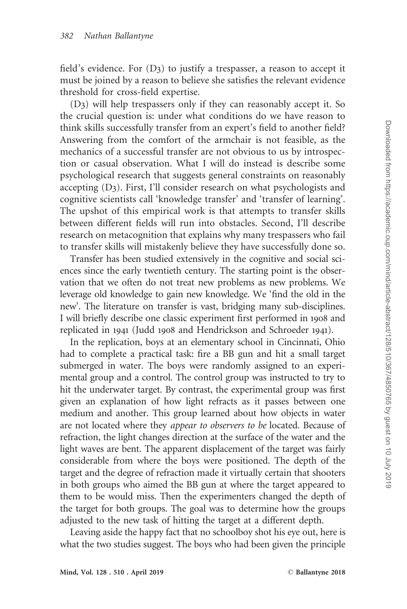field's evidence. For  $(D_3)$  to justify a trespasser, a reason to accept it must be joined by a reason to believe she satisfies the relevant evidence threshold for cross-field expertise.

(D3) will help trespassers only if they can reasonably accept it. So the crucial question is: under what conditions do we have reason to think skills successfully transfer from an expert's field to another field? Answering from the comfort of the armchair is not feasible, as the mechanics of a successful transfer are not obvious to us by introspection or casual observation. What I will do instead is describe some psychological research that suggests general constraints on reasonably accepting (D3). First, I'll consider research on what psychologists and cognitive scientists call 'knowledge transfer' and 'transfer of learning'. The upshot of this empirical work is that attempts to transfer skills between different fields will run into obstacles. Second, I'll describe research on metacognition that explains why many trespassers who fail to transfer skills will mistakenly believe they have successfully done so.

Transfer has been studied extensively in the cognitive and social sciences since the early twentieth century. The starting point is the observation that we often do not treat new problems as new problems. We leverage old knowledge to gain new knowledge. We 'find the old in the new'. The literature on transfer is vast, bridging many sub-disciplines. I will briefly describe one classic experiment first performed in 1908 and replicated in 1941 [\(Judd](#page-26-0) 1908 and [Hendrickson and Schroeder](#page-26-0) 1941).

In the replication, boys at an elementary school in Cincinnati, Ohio had to complete a practical task: fire a BB gun and hit a small target submerged in water. The boys were randomly assigned to an experimental group and a control. The control group was instructed to try to hit the underwater target. By contrast, the experimental group was first given an explanation of how light refracts as it passes between one medium and another. This group learned about how objects in water are not located where they appear to observers to be located. Because of refraction, the light changes direction at the surface of the water and the light waves are bent. The apparent displacement of the target was fairly considerable from where the boys were positioned. The depth of the target and the degree of refraction made it virtually certain that shooters in both groups who aimed the BB gun at where the target appeared to them to be would miss. Then the experimenters changed the depth of the target for both groups. The goal was to determine how the groups adjusted to the new task of hitting the target at a different depth.

Leaving aside the happy fact that no schoolboy shot his eye out, here is what the two studies suggest. The boys who had been given the principle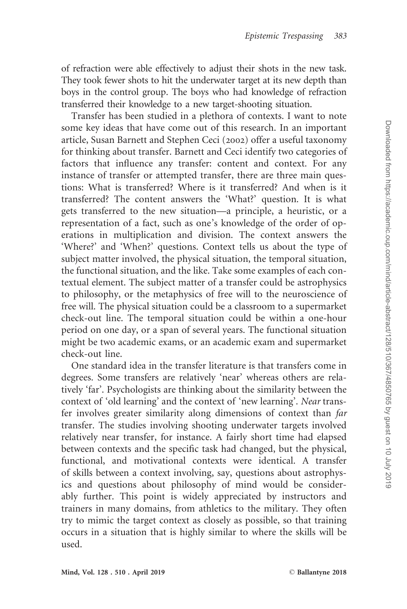of refraction were able effectively to adjust their shots in the new task. They took fewer shots to hit the underwater target at its new depth than boys in the control group. The boys who had knowledge of refraction transferred their knowledge to a new target-shooting situation.

Transfer has been studied in a plethora of contexts. I want to note some key ideas that have come out of this research. In an important article, [Susan Barnett and Stephen Ceci \(](#page-25-0)2002) offer a useful taxonomy for thinking about transfer. Barnett and Ceci identify two categories of factors that influence any transfer: content and context. For any instance of transfer or attempted transfer, there are three main questions: What is transferred? Where is it transferred? And when is it transferred? The content answers the 'What?' question. It is what gets transferred to the new situation—a principle, a heuristic, or a representation of a fact, such as one's knowledge of the order of operations in multiplication and division. The context answers the 'Where?' and 'When?' questions. Context tells us about the type of subject matter involved, the physical situation, the temporal situation, the functional situation, and the like. Take some examples of each contextual element. The subject matter of a transfer could be astrophysics to philosophy, or the metaphysics of free will to the neuroscience of free will. The physical situation could be a classroom to a supermarket check-out line. The temporal situation could be within a one-hour period on one day, or a span of several years. The functional situation might be two academic exams, or an academic exam and supermarket check-out line.

One standard idea in the transfer literature is that transfers come in degrees. Some transfers are relatively 'near' whereas others are relatively 'far'. Psychologists are thinking about the similarity between the context of 'old learning' and the context of 'new learning'. Near transfer involves greater similarity along dimensions of context than far transfer. The studies involving shooting underwater targets involved relatively near transfer, for instance. A fairly short time had elapsed between contexts and the specific task had changed, but the physical, functional, and motivational contexts were identical. A transfer of skills between a context involving, say, questions about astrophysics and questions about philosophy of mind would be considerably further. This point is widely appreciated by instructors and trainers in many domains, from athletics to the military. They often try to mimic the target context as closely as possible, so that training occurs in a situation that is highly similar to where the skills will be used.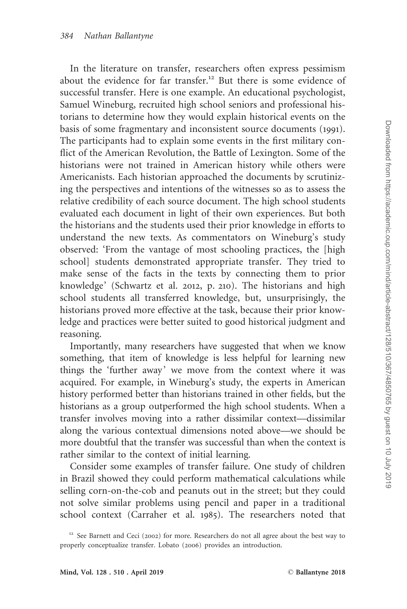In the literature on transfer, researchers often express pessimism about the evidence for far transfer.<sup>12</sup> But there is some evidence of successful transfer. Here is one example. An educational psychologist, Samuel Wineburg, recruited high school seniors and professional historians to determine how they would explain historical events on the basis of some fragmentary and inconsistent source documents ([1991](#page-28-0)). The participants had to explain some events in the first military conflict of the American Revolution, the Battle of Lexington. Some of the historians were not trained in American history while others were Americanists. Each historian approached the documents by scrutinizing the perspectives and intentions of the witnesses so as to assess the relative credibility of each source document. The high school students evaluated each document in light of their own experiences. But both the historians and the students used their prior knowledge in efforts to understand the new texts. As commentators on Wineburg's study observed: 'From the vantage of most schooling practices, the [high school] students demonstrated appropriate transfer. They tried to make sense of the facts in the texts by connecting them to prior knowledge' [\(Schwartz et al.](#page-27-0) 2012, p. 210). The historians and high school students all transferred knowledge, but, unsurprisingly, the historians proved more effective at the task, because their prior knowledge and practices were better suited to good historical judgment and reasoning.

Importantly, many researchers have suggested that when we know something, that item of knowledge is less helpful for learning new things the 'further away' we move from the context where it was acquired. For example, in Wineburg's study, the experts in American history performed better than historians trained in other fields, but the historians as a group outperformed the high school students. When a transfer involves moving into a rather dissimilar context—dissimilar along the various contextual dimensions noted above—we should be more doubtful that the transfer was successful than when the context is rather similar to the context of initial learning.

Consider some examples of transfer failure. One study of children in Brazil showed they could perform mathematical calculations while selling corn-on-the-cob and peanuts out in the street; but they could not solve similar problems using pencil and paper in a traditional school context ([Carraher et al.](#page-25-0) 1985). The researchers noted that

 $12$  See [Barnett and Ceci \(](#page-25-0)2002) for more. Researchers do not all agree about the best way to properly conceptualize transfer. [Lobato \(](#page-27-0)2006) provides an introduction.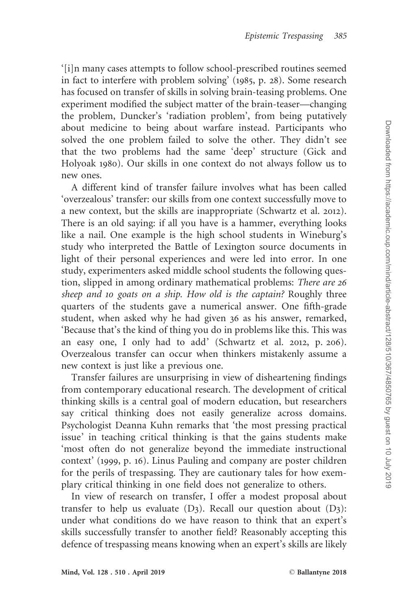'[i]n many cases attempts to follow school-prescribed routines seemed in fact to interfere with problem solving' ([1985](#page-25-0), p. 28). Some research has focused on transfer of skills in solving brain-teasing problems. One experiment modified the subject matter of the brain-teaser—changing the problem, Duncker's 'radiation problem', from being putatively about medicine to being about warfare instead. Participants who solved the one problem failed to solve the other. They didn't see that the two problems had the same 'deep' structure ([Gick and](#page-25-0) [Holyoak](#page-25-0) 1980). Our skills in one context do not always follow us to new ones.

A different kind of transfer failure involves what has been called 'overzealous' transfer: our skills from one context successfully move to a new context, but the skills are inappropriate ([Schwartz et al.](#page-27-0) 2012). There is an old saying: if all you have is a hammer, everything looks like a nail. One example is the high school students in Wineburg's study who interpreted the Battle of Lexington source documents in light of their personal experiences and were led into error. In one study, experimenters asked middle school students the following question, slipped in among ordinary mathematical problems: There are 26 sheep and 10 goats on a ship. How old is the captain? Roughly three quarters of the students gave a numerical answer. One fifth-grade student, when asked why he had given 36 as his answer, remarked, 'Because that's the kind of thing you do in problems like this. This was an easy one, I only had to add' ([Schwartz et al.](#page-27-0) 2012, p. 206). Overzealous transfer can occur when thinkers mistakenly assume a new context is just like a previous one.

Transfer failures are unsurprising in view of disheartening findings from contemporary educational research. The development of critical thinking skills is a central goal of modern education, but researchers say critical thinking does not easily generalize across domains. Psychologist Deanna Kuhn remarks that 'the most pressing practical issue' in teaching critical thinking is that the gains students make 'most often do not generalize beyond the immediate instructional context' ([1999](#page-26-0), p. 16). Linus Pauling and company are poster children for the perils of trespassing. They are cautionary tales for how exemplary critical thinking in one field does not generalize to others.

In view of research on transfer, I offer a modest proposal about transfer to help us evaluate  $(D_3)$ . Recall our question about  $(D_3)$ : under what conditions do we have reason to think that an expert's skills successfully transfer to another field? Reasonably accepting this defence of trespassing means knowing when an expert's skills are likely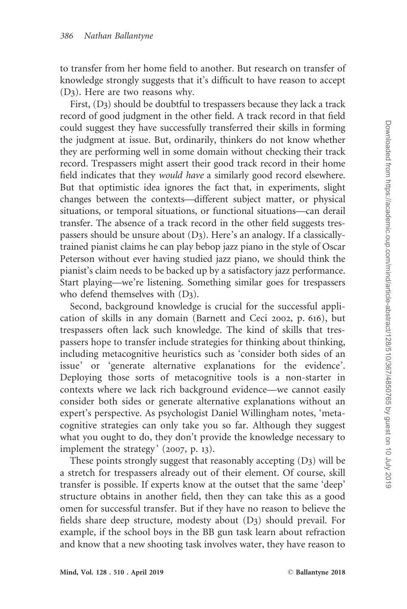to transfer from her home field to another. But research on transfer of knowledge strongly suggests that it's difficult to have reason to accept (D3). Here are two reasons why.

First, (D3) should be doubtful to trespassers because they lack a track record of good judgment in the other field. A track record in that field could suggest they have successfully transferred their skills in forming the judgment at issue. But, ordinarily, thinkers do not know whether they are performing well in some domain without checking their track record. Trespassers might assert their good track record in their home field indicates that they would have a similarly good record elsewhere. But that optimistic idea ignores the fact that, in experiments, slight changes between the contexts—different subject matter, or physical situations, or temporal situations, or functional situations—can derail transfer. The absence of a track record in the other field suggests trespassers should be unsure about (D3). Here's an analogy. If a classicallytrained pianist claims he can play bebop jazz piano in the style of Oscar Peterson without ever having studied jazz piano, we should think the pianist's claim needs to be backed up by a satisfactory jazz performance. Start playing—we're listening. Something similar goes for trespassers who defend themselves with  $(D_3)$ .

Second, background knowledge is crucial for the successful application of skills in any domain [\(Barnett and Ceci](#page-25-0) 2002, p. 616), but trespassers often lack such knowledge. The kind of skills that trespassers hope to transfer include strategies for thinking about thinking, including metacognitive heuristics such as 'consider both sides of an issue' or 'generate alternative explanations for the evidence'. Deploying those sorts of metacognitive tools is a non-starter in contexts where we lack rich background evidence—we cannot easily consider both sides or generate alternative explanations without an expert's perspective. As psychologist Daniel Willingham notes, 'metacognitive strategies can only take you so far. Although they suggest what you ought to do, they don't provide the knowledge necessary to implement the strategy' ([2007](#page-28-0), p. 13).

These points strongly suggest that reasonably accepting (D3) will be a stretch for trespassers already out of their element. Of course, skill transfer is possible. If experts know at the outset that the same 'deep' structure obtains in another field, then they can take this as a good omen for successful transfer. But if they have no reason to believe the fields share deep structure, modesty about (D3) should prevail. For example, if the school boys in the BB gun task learn about refraction and know that a new shooting task involves water, they have reason to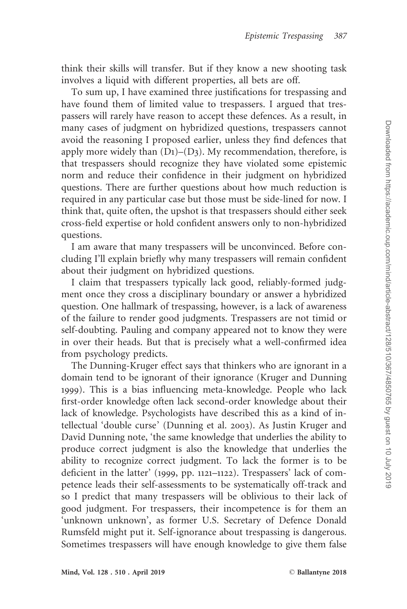think their skills will transfer. But if they know a new shooting task involves a liquid with different properties, all bets are off.

To sum up, I have examined three justifications for trespassing and have found them of limited value to trespassers. I argued that trespassers will rarely have reason to accept these defences. As a result, in many cases of judgment on hybridized questions, trespassers cannot avoid the reasoning I proposed earlier, unless they find defences that apply more widely than  $(D_1)$ – $(D_3)$ . My recommendation, therefore, is that trespassers should recognize they have violated some epistemic norm and reduce their confidence in their judgment on hybridized questions. There are further questions about how much reduction is required in any particular case but those must be side-lined for now. I think that, quite often, the upshot is that trespassers should either seek cross-field expertise or hold confident answers only to non-hybridized questions.

I am aware that many trespassers will be unconvinced. Before concluding I'll explain briefly why many trespassers will remain confident about their judgment on hybridized questions.

I claim that trespassers typically lack good, reliably-formed judgment once they cross a disciplinary boundary or answer a hybridized question. One hallmark of trespassing, however, is a lack of awareness of the failure to render good judgments. Trespassers are not timid or self-doubting. Pauling and company appeared not to know they were in over their heads. But that is precisely what a well-confirmed idea from psychology predicts.

The Dunning-Kruger effect says that thinkers who are ignorant in a domain tend to be ignorant of their ignorance (Kruger and Dunning 1999). This is a bias influencing meta-knowledge. People who lack first-order knowledge often lack second-order knowledge about their lack of knowledge. Psychologists have described this as a kind of intellectual 'double curse' [\(Dunning et al.](#page-25-0) 2003). As Justin Kruger and David Dunning note, 'the same knowledge that underlies the ability to produce correct judgment is also the knowledge that underlies the ability to recognize correct judgment. To lack the former is to be deficient in the latter' (1999, pp. 1121–1122). Trespassers' lack of competence leads their self-assessments to be systematically off-track and so I predict that many trespassers will be oblivious to their lack of good judgment. For trespassers, their incompetence is for them an 'unknown unknown', as former U.S. Secretary of Defence Donald Rumsfeld might put it. Self-ignorance about trespassing is dangerous. Sometimes trespassers will have enough knowledge to give them false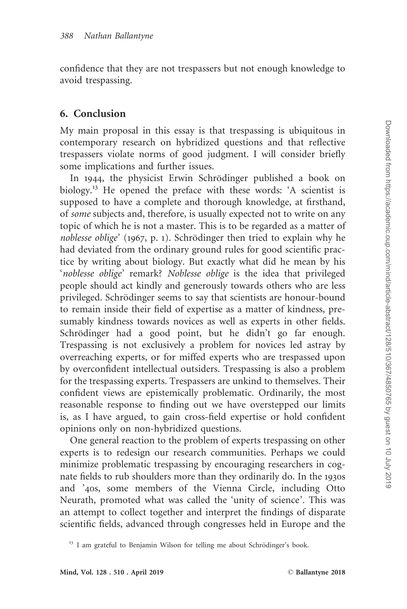confidence that they are not trespassers but not enough knowledge to avoid trespassing.

#### 6. Conclusion

My main proposal in this essay is that trespassing is ubiquitous in contemporary research on hybridized questions and that reflective trespassers violate norms of good judgment. I will consider briefly some implications and further issues.

In 1944, the physicist Erwin Schrödinger published a book on biology.<sup>13</sup> He opened the preface with these words: 'A scientist is supposed to have a complete and thorough knowledge, at firsthand, of some subjects and, therefore, is usually expected not to write on any topic of which he is not a master. This is to be regarded as a matter of noblesse oblige' ([1967](#page-27-0), p. 1). Schrödinger then tried to explain why he had deviated from the ordinary ground rules for good scientific practice by writing about biology. But exactly what did he mean by his 'noblesse oblige' remark? Noblesse oblige is the idea that privileged people should act kindly and generously towards others who are less privileged. Schrödinger seems to say that scientists are honour-bound to remain inside their field of expertise as a matter of kindness, presumably kindness towards novices as well as experts in other fields. Schrödinger had a good point, but he didn't go far enough. Trespassing is not exclusively a problem for novices led astray by overreaching experts, or for miffed experts who are trespassed upon by overconfident intellectual outsiders. Trespassing is also a problem for the trespassing experts. Trespassers are unkind to themselves. Their confident views are epistemically problematic. Ordinarily, the most reasonable response to finding out we have overstepped our limits is, as I have argued, to gain cross-field expertise or hold confident opinions only on non-hybridized questions.

One general reaction to the problem of experts trespassing on other experts is to redesign our research communities. Perhaps we could minimize problematic trespassing by encouraging researchers in cognate fields to rub shoulders more than they ordinarily do. In the 1930s and '40s, some members of the Vienna Circle, including Otto Neurath, promoted what was called the 'unity of science'. This was an attempt to collect together and interpret the findings of disparate scientific fields, advanced through congresses held in Europe and the

<sup>&</sup>lt;sup>13</sup> I am grateful to Benjamin Wilson for telling me about Schrödinger's book.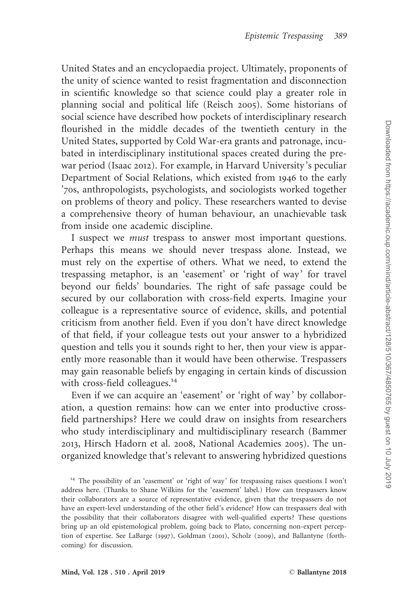United States and an encyclopaedia project. Ultimately, proponents of the unity of science wanted to resist fragmentation and disconnection in scientific knowledge so that science could play a greater role in planning social and political life ([Reisch](#page-27-0) 2005). Some historians of social science have described how pockets of interdisciplinary research flourished in the middle decades of the twentieth century in the United States, supported by Cold War-era grants and patronage, incubated in interdisciplinary institutional spaces created during the prewar period [\(Isaac](#page-26-0) 2012). For example, in Harvard University 's peculiar Department of Social Relations, which existed from 1946 to the early '70s, anthropologists, psychologists, and sociologists worked together on problems of theory and policy. These researchers wanted to devise a comprehensive theory of human behaviour, an unachievable task from inside one academic discipline.

I suspect we must trespass to answer most important questions. Perhaps this means we should never trespass alone. Instead, we must rely on the expertise of others. What we need, to extend the trespassing metaphor, is an 'easement' or 'right of way ' for travel beyond our fields' boundaries. The right of safe passage could be secured by our collaboration with cross-field experts. Imagine your colleague is a representative source of evidence, skills, and potential criticism from another field. Even if you don't have direct knowledge of that field, if your colleague tests out your answer to a hybridized question and tells you it sounds right to her, then your view is apparently more reasonable than it would have been otherwise. Trespassers may gain reasonable beliefs by engaging in certain kinds of discussion with cross-field colleagues.<sup>14</sup>

Even if we can acquire an 'easement' or 'right of way ' by collaboration, a question remains: how can we enter into productive crossfield partnerships? Here we could draw on insights from researchers who study interdisciplinary and multidisciplinary research [\(Bammer](#page-24-0) [2013](#page-24-0), [Hirsch Hadorn et al.](#page-26-0) 2008, [National Academies](#page-27-0) 2005). The unorganized knowledge that's relevant to answering hybridized questions

<sup>14</sup> The possibility of an 'easement' or 'right of way' for trespassing raises questions I won't address here. (Thanks to Shane Wilkins for the 'easement' label.) How can trespassers know their collaborators are a source of representative evidence, given that the trespassers do not have an expert-level understanding of the other field's evidence? How can trespassers deal with the possibility that their collaborators disagree with well-qualified experts? These questions bring up an old epistemological problem, going back to Plato, concerning non-expert perception of expertise. See [LaBarge \(](#page-26-0)1997), [Goldman \(](#page-25-0)2001), [Scholz \(](#page-27-0)2009), and [Ballantyne \(forth](#page-24-0)[coming\)](#page-24-0) for discussion.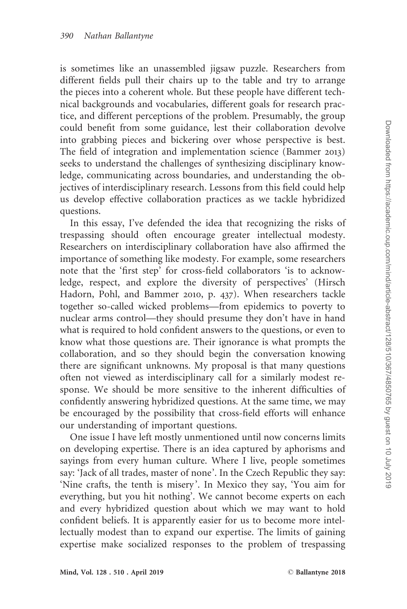is sometimes like an unassembled jigsaw puzzle. Researchers from different fields pull their chairs up to the table and try to arrange the pieces into a coherent whole. But these people have different technical backgrounds and vocabularies, different goals for research practice, and different perceptions of the problem. Presumably, the group could benefit from some guidance, lest their collaboration devolve into grabbing pieces and bickering over whose perspective is best. The field of integration and implementation science (Bammer 2013) seeks to understand the challenges of synthesizing disciplinary knowledge, communicating across boundaries, and understanding the objectives of interdisciplinary research. Lessons from this field could help us develop effective collaboration practices as we tackle hybridized questions.

In this essay, I've defended the idea that recognizing the risks of trespassing should often encourage greater intellectual modesty. Researchers on interdisciplinary collaboration have also affirmed the importance of something like modesty. For example, some researchers note that the 'first step' for cross-field collaborators 'is to acknowledge, respect, and explore the diversity of perspectives' ([Hirsch](#page-26-0) [Hadorn, Pohl, and Bammer](#page-26-0) 2010, p. 437). When researchers tackle together so-called wicked problems—from epidemics to poverty to nuclear arms control—they should presume they don't have in hand what is required to hold confident answers to the questions, or even to know what those questions are. Their ignorance is what prompts the collaboration, and so they should begin the conversation knowing there are significant unknowns. My proposal is that many questions often not viewed as interdisciplinary call for a similarly modest response. We should be more sensitive to the inherent difficulties of confidently answering hybridized questions. At the same time, we may be encouraged by the possibility that cross-field efforts will enhance our understanding of important questions.

One issue I have left mostly unmentioned until now concerns limits on developing expertise. There is an idea captured by aphorisms and sayings from every human culture. Where I live, people sometimes say: 'Jack of all trades, master of none'. In the Czech Republic they say: 'Nine crafts, the tenth is misery '. In Mexico they say, 'You aim for everything, but you hit nothing'. We cannot become experts on each and every hybridized question about which we may want to hold confident beliefs. It is apparently easier for us to become more intellectually modest than to expand our expertise. The limits of gaining expertise make socialized responses to the problem of trespassing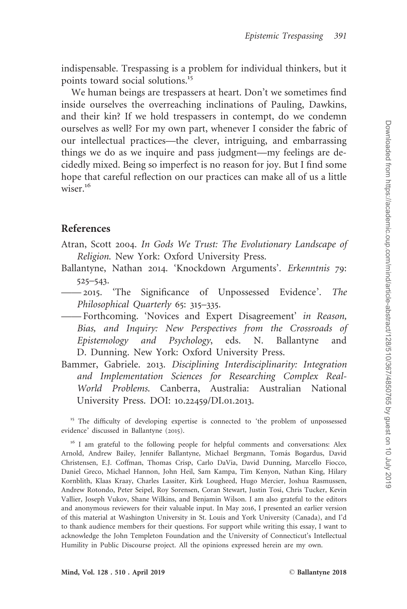<span id="page-24-0"></span>indispensable. Trespassing is a problem for individual thinkers, but it points toward social solutions.<sup>15</sup>

We human beings are trespassers at heart. Don't we sometimes find inside ourselves the overreaching inclinations of Pauling, Dawkins, and their kin? If we hold trespassers in contempt, do we condemn ourselves as well? For my own part, whenever I consider the fabric of our intellectual practices—the clever, intriguing, and embarrassing things we do as we inquire and pass judgment—my feelings are decidedly mixed. Being so imperfect is no reason for joy. But I find some hope that careful reflection on our practices can make all of us a little wiser.<sup>16</sup>

# References

- Atran, Scott 2004. In Gods We Trust: The Evolutionary Landscape of Religion. New York: Oxford University Press.
- Ballantyne, Nathan 2014. 'Knockdown Arguments'. Erkenntnis 79: 525–543.
- —— 2015. 'The Significance of Unpossessed Evidence'. The Philosophical Quarterly 65: 315–335.
- —— Forthcoming. 'Novices and Expert Disagreement' in Reason, Bias, and Inquiry: New Perspectives from the Crossroads of Epistemology and Psychology, eds. N. Ballantyne and D. Dunning. New York: Oxford University Press.
- Bammer, Gabriele. 2013. Disciplining Interdisciplinarity: Integration and Implementation Sciences for Researching Complex Real-World Problems. Canberra, Australia: Australian National University Press. DOI: 10.22459/DI.01.2013.

<sup>15</sup> The difficulty of developing expertise is connected to 'the problem of unpossessed evidence' discussed in Ballantyne (2015).

<sup>16</sup> I am grateful to the following people for helpful comments and conversations: Alex Arnold, Andrew Bailey, Jennifer Ballantyne, Michael Bergmann, Tomás Bogardus, David Christensen, E.J. Coffman, Thomas Crisp, Carlo DaVia, David Dunning, Marcello Fiocco, Daniel Greco, Michael Hannon, John Heil, Sam Kampa, Tim Kenyon, Nathan King, Hilary Kornblith, Klaas Kraay, Charles Lassiter, Kirk Lougheed, Hugo Mercier, Joshua Rasmussen, Andrew Rotondo, Peter Seipel, Roy Sorensen, Coran Stewart, Justin Tosi, Chris Tucker, Kevin Vallier, Joseph Vukov, Shane Wilkins, and Benjamin Wilson. I am also grateful to the editors and anonymous reviewers for their valuable input. In May 2016, I presented an earlier version of this material at Washington University in St. Louis and York University (Canada), and I'd to thank audience members for their questions. For support while writing this essay, I want to acknowledge the John Templeton Foundation and the University of Connecticut's Intellectual Humility in Public Discourse project. All the opinions expressed herein are my own.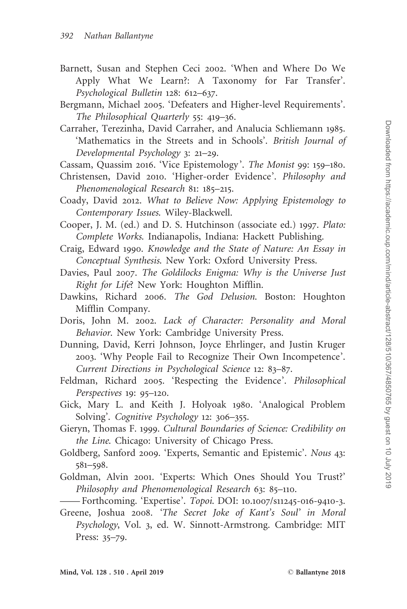- <span id="page-25-0"></span>Barnett, Susan and Stephen Ceci 2002. 'When and Where Do We Apply What We Learn?: A Taxonomy for Far Transfer'. Psychological Bulletin 128: 612–637.
- Bergmann, Michael 2005. 'Defeaters and Higher-level Requirements'. The Philosophical Quarterly 55: 419–36.
- Carraher, Terezinha, David Carraher, and Analucia Schliemann 1985. 'Mathematics in the Streets and in Schools'. British Journal of Developmental Psychology 3: 21–29.
- Cassam, Quassim 2016. 'Vice Epistemology '. The Monist 99: 159–180.
- Christensen, David 2010. 'Higher-order Evidence'. Philosophy and Phenomenological Research 81: 185–215.
- Coady, David 2012. What to Believe Now: Applying Epistemology to Contemporary Issues. Wiley-Blackwell.
- Cooper, J. M. (ed.) and D. S. Hutchinson (associate ed.) 1997. Plato: Complete Works. Indianapolis, Indiana: Hackett Publishing.
- Craig, Edward 1990. Knowledge and the State of Nature: An Essay in Conceptual Synthesis. New York: Oxford University Press.
- Davies, Paul 2007. The Goldilocks Enigma: Why is the Universe Just Right for Life? New York: Houghton Mifflin.
- Dawkins, Richard 2006. The God Delusion. Boston: Houghton Mifflin Company.
- Doris, John M. 2002. Lack of Character: Personality and Moral Behavior. New York: Cambridge University Press.
- Dunning, David, Kerri Johnson, Joyce Ehrlinger, and Justin Kruger 2003. 'Why People Fail to Recognize Their Own Incompetence'. Current Directions in Psychological Science 12: 83–87.
- Feldman, Richard 2005. 'Respecting the Evidence'. Philosophical Perspectives 19: 95–120.
- Gick, Mary L. and Keith J. Holyoak 1980. 'Analogical Problem Solving'. Cognitive Psychology 12: 306–355.
- Gieryn, Thomas F. 1999. Cultural Boundaries of Science: Credibility on the Line. Chicago: University of Chicago Press.
- Goldberg, Sanford 2009. 'Experts, Semantic and Epistemic'. Nous 43: 581–598.
- Goldman, Alvin 2001. 'Experts: Which Ones Should You Trust?' Philosophy and Phenomenological Research 63: 85–110.
- —— Forthcoming. 'Expertise'. Topoi. DOI: 10.1007/s11245-016-9410-3.
- Greene, Joshua 2008. 'The Secret Joke of Kant's Soul' in Moral Psychology, Vol. 3, ed. W. Sinnott-Armstrong. Cambridge: MIT Press: 35–79.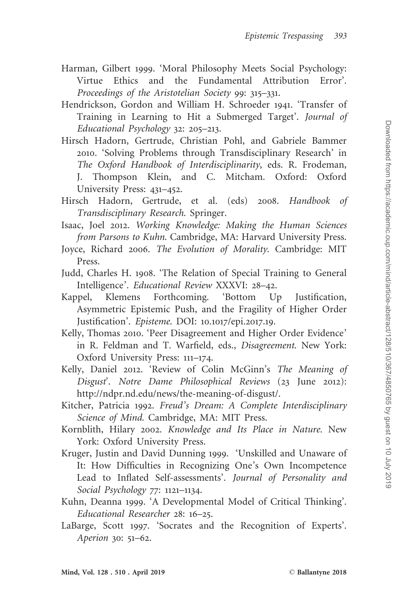- <span id="page-26-0"></span>Harman, Gilbert 1999. 'Moral Philosophy Meets Social Psychology: Virtue Ethics and the Fundamental Attribution Error'. Proceedings of the Aristotelian Society 99: 315–331.
- Hendrickson, Gordon and William H. Schroeder 1941. 'Transfer of Training in Learning to Hit a Submerged Target'. Journal of Educational Psychology 32: 205–213.
- Hirsch Hadorn, Gertrude, Christian Pohl, and Gabriele Bammer 2010. 'Solving Problems through Transdisciplinary Research' in The Oxford Handbook of Interdisciplinarity, eds. R. Frodeman, J. Thompson Klein, and C. Mitcham. Oxford: Oxford University Press: 431–452.
- Hirsch Hadorn, Gertrude, et al. (eds) 2008. Handbook of Transdisciplinary Research. Springer.
- Isaac, Joel 2012. Working Knowledge: Making the Human Sciences from Parsons to Kuhn. Cambridge, MA: Harvard University Press.
- Joyce, Richard 2006. The Evolution of Morality. Cambridge: MIT Press.
- Judd, Charles H. 1908. 'The Relation of Special Training to General Intelligence'. Educational Review XXXVI: 28–42.
- Kappel, Klemens Forthcoming. 'Bottom Up Justification, Asymmetric Epistemic Push, and the Fragility of Higher Order Justification'. Episteme. DOI: 10.1017/epi.2017.19.
- Kelly, Thomas 2010. 'Peer Disagreement and Higher Order Evidence' in R. Feldman and T. Warfield, eds., Disagreement. New York: Oxford University Press: 111–174.
- Kelly, Daniel 2012. 'Review of Colin McGinn's The Meaning of Disgust'. Notre Dame Philosophical Reviews (23 June 2012): [http://ndpr.nd.edu/news/the-meaning-of-disgust/.](http://ndpr.nd.edu/news/the-meaning-of-disgust/)
- Kitcher, Patricia 1992. Freud's Dream: A Complete Interdisciplinary Science of Mind. Cambridge, MA: MIT Press.
- Kornblith, Hilary 2002. Knowledge and Its Place in Nature. New York: Oxford University Press.
- Kruger, Justin and David Dunning 1999. 'Unskilled and Unaware of It: How Difficulties in Recognizing One's Own Incompetence Lead to Inflated Self-assessments'. Journal of Personality and Social Psychology 77: 1121–1134.
- Kuhn, Deanna 1999. 'A Developmental Model of Critical Thinking'. Educational Researcher 28: 16–25.
- LaBarge, Scott 1997. 'Socrates and the Recognition of Experts'. Aperion 30: 51–62.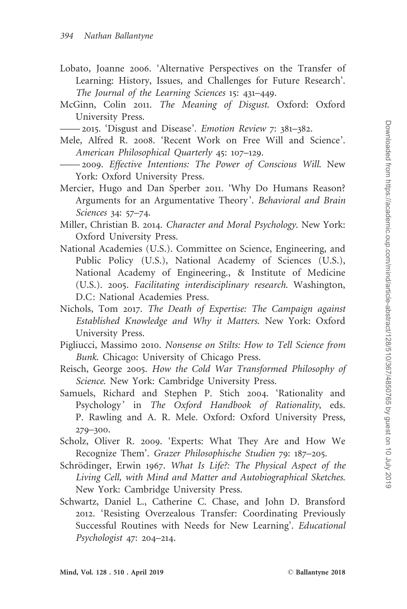- <span id="page-27-0"></span>Lobato, Joanne 2006. 'Alternative Perspectives on the Transfer of Learning: History, Issues, and Challenges for Future Research'. The Journal of the Learning Sciences 15: 431–449.
- McGinn, Colin 2011. The Meaning of Disgust. Oxford: Oxford University Press.
- —— 2015. 'Disgust and Disease'. Emotion Review 7: 381–382.
- Mele, Alfred R. 2008. 'Recent Work on Free Will and Science'. American Philosophical Quarterly 45: 107–129.
- —— 2009. Effective Intentions: The Power of Conscious Will. New York: Oxford University Press.
- Mercier, Hugo and Dan Sperber 2011. 'Why Do Humans Reason? Arguments for an Argumentative Theory '. Behavioral and Brain Sciences 34: 57–74.
- Miller, Christian B. 2014. Character and Moral Psychology. New York: Oxford University Press.
- National Academies (U.S.). Committee on Science, Engineering, and Public Policy (U.S.), National Academy of Sciences (U.S.), National Academy of Engineering., & Institute of Medicine (U.S.). 2005. Facilitating interdisciplinary research. Washington, D.C: National Academies Press.
- Nichols, Tom 2017. The Death of Expertise: The Campaign against Established Knowledge and Why it Matters. New York: Oxford University Press.
- Pigliucci, Massimo 2010. Nonsense on Stilts: How to Tell Science from Bunk. Chicago: University of Chicago Press.
- Reisch, George 2005. How the Cold War Transformed Philosophy of Science. New York: Cambridge University Press.
- Samuels, Richard and Stephen P. Stich 2004. 'Rationality and Psychology ' in The Oxford Handbook of Rationality, eds. P. Rawling and A. R. Mele. Oxford: Oxford University Press, 279–300.
- Scholz, Oliver R. 2009. 'Experts: What They Are and How We Recognize Them'. Grazer Philosophische Studien 79: 187–205.
- Schrödinger, Erwin 1967. What Is Life?: The Physical Aspect of the Living Cell, with Mind and Matter and Autobiographical Sketches. New York: Cambridge University Press.
- Schwartz, Daniel L., Catherine C. Chase, and John D. Bransford 2012. 'Resisting Overzealous Transfer: Coordinating Previously Successful Routines with Needs for New Learning'. Educational Psychologist 47: 204–214.